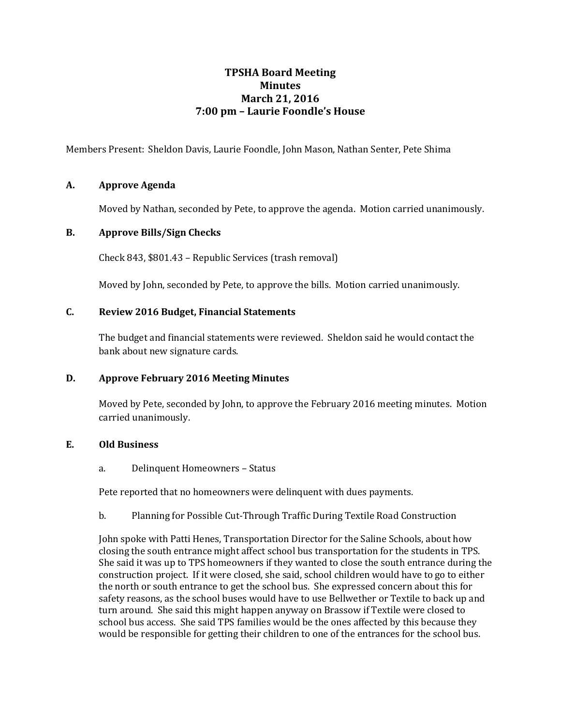# **TPSHA Board Meeting Minutes March 21, 2016 7:00 pm – Laurie Foondle's House**

Members Present: Sheldon Davis, Laurie Foondle, John Mason, Nathan Senter, Pete Shima

## **A. Approve Agenda**

Moved by Nathan, seconded by Pete, to approve the agenda. Motion carried unanimously.

#### **B. Approve Bills/Sign Checks**

Check 843, \$801.43 – Republic Services (trash removal)

Moved by John, seconded by Pete, to approve the bills. Motion carried unanimously.

## **C. Review 2016 Budget, Financial Statements**

The budget and financial statements were reviewed. Sheldon said he would contact the bank about new signature cards.

#### **D. Approve February 2016 Meeting Minutes**

Moved by Pete, seconded by John, to approve the February 2016 meeting minutes. Motion carried unanimously.

### **E. Old Business**

a. Delinquent Homeowners – Status

Pete reported that no homeowners were delinquent with dues payments.

b. Planning for Possible Cut-Through Traffic During Textile Road Construction

John spoke with Patti Henes, Transportation Director for the Saline Schools, about how closing the south entrance might affect school bus transportation for the students in TPS. She said it was up to TPS homeowners if they wanted to close the south entrance during the construction project. If it were closed, she said, school children would have to go to either the north or south entrance to get the school bus. She expressed concern about this for safety reasons, as the school buses would have to use Bellwether or Textile to back up and turn around. She said this might happen anyway on Brassow if Textile were closed to school bus access. She said TPS families would be the ones affected by this because they would be responsible for getting their children to one of the entrances for the school bus.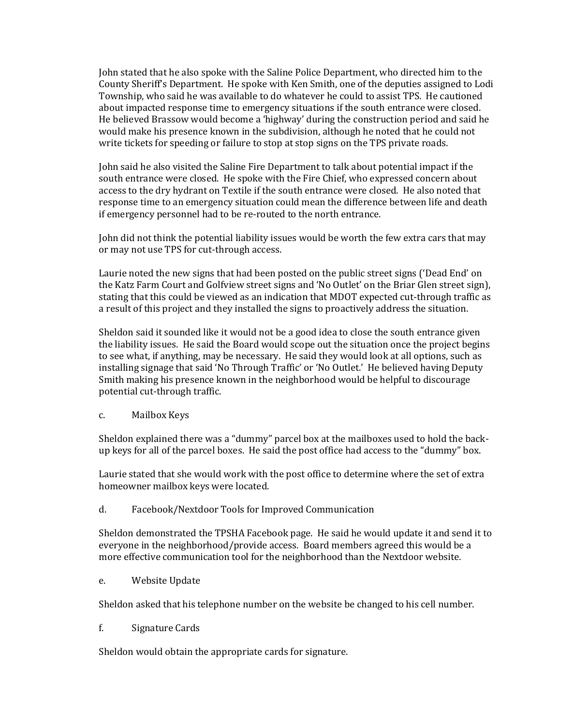John stated that he also spoke with the Saline Police Department, who directed him to the County Sheriff's Department. He spoke with Ken Smith, one of the deputies assigned to Lodi Township, who said he was available to do whatever he could to assist TPS. He cautioned about impacted response time to emergency situations if the south entrance were closed. He believed Brassow would become a 'highway' during the construction period and said he would make his presence known in the subdivision, although he noted that he could not write tickets for speeding or failure to stop at stop signs on the TPS private roads.

John said he also visited the Saline Fire Department to talk about potential impact if the south entrance were closed. He spoke with the Fire Chief, who expressed concern about access to the dry hydrant on Textile if the south entrance were closed. He also noted that response time to an emergency situation could mean the difference between life and death if emergency personnel had to be re-routed to the north entrance.

John did not think the potential liability issues would be worth the few extra cars that may or may not use TPS for cut-through access.

Laurie noted the new signs that had been posted on the public street signs ('Dead End' on the Katz Farm Court and Golfview street signs and 'No Outlet' on the Briar Glen street sign), stating that this could be viewed as an indication that MDOT expected cut-through traffic as a result of this project and they installed the signs to proactively address the situation.

Sheldon said it sounded like it would not be a good idea to close the south entrance given the liability issues. He said the Board would scope out the situation once the project begins to see what, if anything, may be necessary. He said they would look at all options, such as installing signage that said 'No Through Traffic' or 'No Outlet.' He believed having Deputy Smith making his presence known in the neighborhood would be helpful to discourage potential cut-through traffic.

c. Mailbox Keys

Sheldon explained there was a "dummy" parcel box at the mailboxes used to hold the backup keys for all of the parcel boxes. He said the post office had access to the "dummy" box.

Laurie stated that she would work with the post office to determine where the set of extra homeowner mailbox keys were located.

d. Facebook/Nextdoor Tools for Improved Communication

Sheldon demonstrated the TPSHA Facebook page. He said he would update it and send it to everyone in the neighborhood/provide access. Board members agreed this would be a more effective communication tool for the neighborhood than the Nextdoor website.

e. Website Update

Sheldon asked that his telephone number on the website be changed to his cell number.

f. Signature Cards

Sheldon would obtain the appropriate cards for signature.